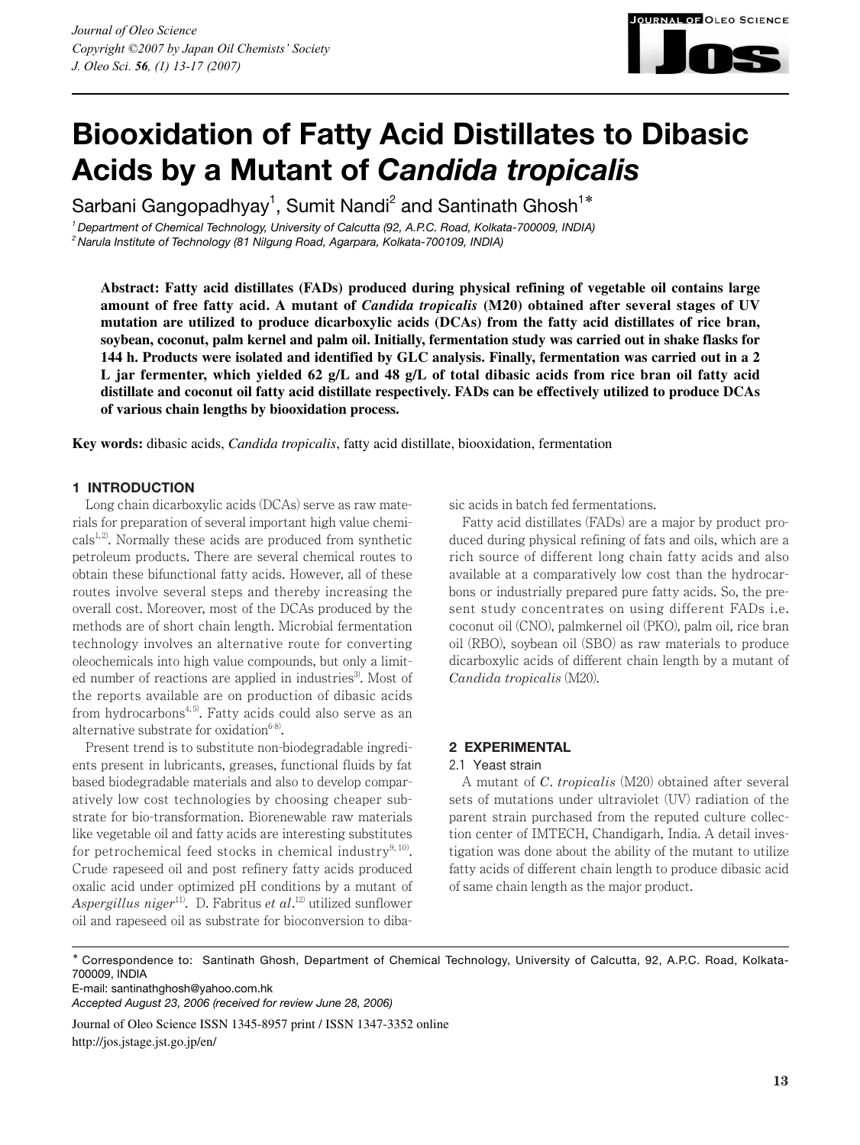

# **Biooxidation of Fatty Acid Distillates to Dibasic Acids by a Mutant of** *Candida tropicalis*

Sarbani Gangopadhyay<sup>1</sup>, Sumit Nandi<sup>2</sup> and Santinath Ghosh<sup>1\*</sup>

*1 Department of Chemical Technology, University of Calcutta (92, A.P.C. Road, Kolkata-700009, INDIA) 2 Narula Institute of Technology (81 Nilgung Road, Agarpara, Kolkata-700109, INDIA)*

**Abstract: Fatty acid distillates (FADs) produced during physical refining of vegetable oil contains large amount of free fatty acid. A mutant of** *Candida tropicalis* **(M20) obtained after several stages of UV mutation are utilized to produce dicarboxylic acids (DCAs) from the fatty acid distillates of rice bran, soybean, coconut, palm kernel and palm oil. Initially, fermentation study was carried out in shake flasks for 144 h. Products were isolated and identified by GLC analysis. Finally, fermentation was carried out in a 2 L jar fermenter, which yielded 62 g/L and 48 g/L of total dibasic acids from rice bran oil fatty acid distillate and coconut oil fatty acid distillate respectively. FADs can be effectively utilized to produce DCAs of various chain lengths by biooxidation process.** 

**Key words:** dibasic acids, *Candida tropicalis*, fatty acid distillate, biooxidation, fermentation

# **1 INTRODUCTION**

Long chain dicarboxylic acids (DCAs) serve as raw materials for preparation of several important high value chemi- $\text{cals}^{1, 2}$ . Normally these acids are produced from synthetic petroleum products. There are several chemical routes to obtain these bifunctional fatty acids. However, all of these routes involve several steps and thereby increasing the overall cost. Moreover, most of the DCAs produced by the methods are of short chain length. Microbial fermentation technology involves an alternative route for converting oleochemicals into high value compounds, but only a limited number of reactions are applied in industries<sup>3</sup>. Most of the reports available are on production of dibasic acids from hydrocarbons<sup>4,5)</sup>. Fatty acids could also serve as an alternative substrate for oxidation $6-8$ .

Present trend is to substitute non-biodegradable ingredients present in lubricants, greases, functional fluids by fat based biodegradable materials and also to develop comparatively low cost technologies by choosing cheaper substrate for bio-transformation. Biorenewable raw materials like vegetable oil and fatty acids are interesting substitutes for petrochemical feed stocks in chemical industry $9,10$ . Crude rapeseed oil and post refinery fatty acids produced oxalic acid under optimized pH conditions by a mutant of *Aspergillus niger*11). D. Fabritus *et al*. 12) utilized sunflower oil and rapeseed oil as substrate for bioconversion to dibasic acids in batch fed fermentations.

Fatty acid distillates (FADs) are a major by product produced during physical refining of fats and oils, which are a rich source of different long chain fatty acids and also available at a comparatively low cost than the hydrocarbons or industrially prepared pure fatty acids. So, the present study concentrates on using different FADs i.e. coconut oil (CNO), palmkernel oil (PKO), palm oil, rice bran oil (RBO), soybean oil (SBO) as raw materials to produce dicarboxylic acids of different chain length by a mutant of *Candida tropicalis* (M20).

# **2 EXPERIMENTAL**

# 2.1 Yeast strain

A mutant of *C*. *tropicalis* (M20) obtained after several sets of mutations under ultraviolet (UV) radiation of the parent strain purchased from the reputed culture collection center of IMTECH, Chandigarh, India. A detail investigation was done about the ability of the mutant to utilize fatty acids of different chain length to produce dibasic acid of same chain length as the major product.

E-mail: santinathghosh@yahoo.com.hk

*Accepted August 23, 2006 (received for review June 28, 2006)*

Journal of Oleo Science ISSN 1345-8957 print / ISSN 1347-3352 online http://jos.jstage.jst.go.jp/en/

<sup>\*</sup> Correspondence to: Santinath Ghosh, Department of Chemical Technology, University of Calcutta, 92, A.P.C. Road, Kolkata-700009, INDIA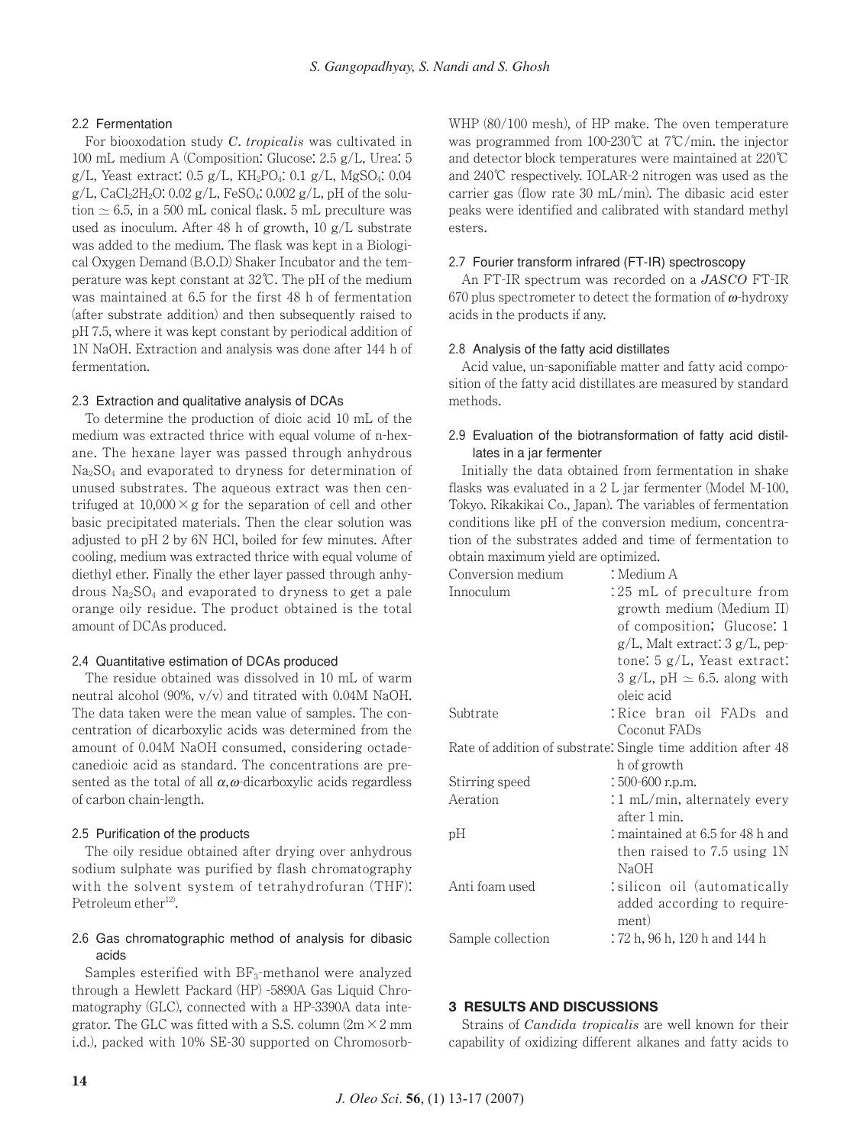## 2.2 Fermentation

For biooxodation study *C*. *tropicalis* was cultivated in 100 mL medium A (Composition: Glucose: 2.5 g/L, Urea: 5 g/L, Yeast extract:  $0.5$  g/L, KH<sub>2</sub>PO<sub>4</sub>:  $0.1$  g/L, MgSO<sub>4</sub>:  $0.04$  $g/L$ , CaCl<sub>2</sub>2H<sub>2</sub>O: 0.02  $g/L$ , FeSO<sub>4</sub>: 0.002  $g/L$ , pH of the solution  $\simeq$  6.5, in a 500 mL conical flask. 5 mL preculture was used as inoculum. After 48 h of growth, 10 g/L substrate was added to the medium. The flask was kept in a Biological Oxygen Demand (B.O.D) Shaker Incubator and the temperature was kept constant at 32℃. The pH of the medium was maintained at 6.5 for the first 48 h of fermentation (after substrate addition) and then subsequently raised to pH 7.5, where it was kept constant by periodical addition of 1N NaOH. Extraction and analysis was done after 144 h of fermentation.

## 2.3 Extraction and qualitative analysis of DCAs

To determine the production of dioic acid 10 mL of the medium was extracted thrice with equal volume of n-hexane. The hexane layer was passed through anhydrous Na2SO4 and evaporated to dryness for determination of unused substrates. The aqueous extract was then centrifuged at  $10,000 \times g$  for the separation of cell and other basic precipitated materials. Then the clear solution was adjusted to pH 2 by 6N HCl, boiled for few minutes. After cooling, medium was extracted thrice with equal volume of diethyl ether. Finally the ether layer passed through anhydrous  $Na<sub>2</sub>SO<sub>4</sub>$  and evaporated to dryness to get a pale orange oily residue. The product obtained is the total amount of DCAs produced.

## 2.4 Quantitative estimation of DCAs produced

The residue obtained was dissolved in 10 mL of warm neutral alcohol (90%, v/v) and titrated with 0.04M NaOH. The data taken were the mean value of samples. The concentration of dicarboxylic acids was determined from the amount of 0.04M NaOH consumed, considering octadecanedioic acid as standard. The concentrations are presented as the total of all  $\alpha$ ,  $\omega$ -dicarboxylic acids regardless of carbon chain-length.

#### 2.5 Purification of the products

The oily residue obtained after drying over anhydrous sodium sulphate was purified by flash chromatography with the solvent system of tetrahydrofuran (THF): Petroleum ether<sup>12)</sup>.

## 2.6 Gas chromatographic method of analysis for dibasic acids

Samples esterified with  $BF_3$ -methanol were analyzed through a Hewlett Packard (HP) -5890A Gas Liquid Chromatography (GLC), connected with a HP-3390A data integrator. The GLC was fitted with a S.S. column  $(2m \times 2mm)$ i.d.), packed with 10% SE-30 supported on ChromosorbWHP (80/100 mesh), of HP make. The oven temperature was programmed from 100-230℃ at 7℃/min. the injector and detector block temperatures were maintained at 220℃ and 240℃ respectively. IOLAR-2 nitrogen was used as the carrier gas (flow rate 30 mL/min). The dibasic acid ester peaks were identified and calibrated with standard methyl esters.

#### 2.7 Fourier transform infrared (FT-IR) spectroscopy

An FT-IR spectrum was recorded on a *JASCO* FT-IR 670 plus spectrometer to detect the formation of  $\omega$ -hydroxy acids in the products if any.

#### 2.8 Analysis of the fatty acid distillates

Acid value, un-saponifiable matter and fatty acid composition of the fatty acid distillates are measured by standard methods.

## 2.9 Evaluation of the biotransformation of fatty acid distillates in a jar fermenter

Initially the data obtained from fermentation in shake flasks was evaluated in a 2 L jar fermenter (Model M-100, Tokyo. Rikakikai Co., Japan). The variables of fermentation conditions like pH of the conversion medium, concentration of the substrates added and time of fermentation to obtain maximum yield are optimized.

| Conversion medium | : Medium A                                                             |  |  |  |  |  |
|-------------------|------------------------------------------------------------------------|--|--|--|--|--|
| Innoculum         | :25 mL of preculture from                                              |  |  |  |  |  |
|                   | growth medium (Medium II)                                              |  |  |  |  |  |
|                   | of composition; Glucose: 1                                             |  |  |  |  |  |
|                   | $g/L$ , Malt extract: $3 g/L$ , pep-<br>tone: $5 g/L$ , Yeast extract: |  |  |  |  |  |
|                   |                                                                        |  |  |  |  |  |
|                   | $3 \text{ g/L}$ , pH $\simeq 6.5$ . along with                         |  |  |  |  |  |
|                   | oleic acid                                                             |  |  |  |  |  |
| Subtrate          | :Rice bran oil FADs and                                                |  |  |  |  |  |
|                   | Coconut FADs                                                           |  |  |  |  |  |
|                   | Rate of addition of substrate. Single time addition after 48           |  |  |  |  |  |
|                   | h of growth                                                            |  |  |  |  |  |
| Stirring speed    | $:500-600$ r.p.m.                                                      |  |  |  |  |  |
| Aeration          | $:1$ mL/min, alternately every                                         |  |  |  |  |  |
|                   | after 1 min.                                                           |  |  |  |  |  |
| pН                | : maintained at 6.5 for 48 h and                                       |  |  |  |  |  |
|                   | then raised to 7.5 using 1N                                            |  |  |  |  |  |
|                   | NaOH                                                                   |  |  |  |  |  |
| Anti foam used    | silicon oil (automatically:                                            |  |  |  |  |  |
|                   | added according to require-                                            |  |  |  |  |  |
|                   | ment)                                                                  |  |  |  |  |  |
| Sample collection | : 72 h, 96 h, 120 h and 144 h                                          |  |  |  |  |  |

## **3 RESULTS AND DISCUSSIONS**

Strains of *Candida tropicalis* are well known for their capability of oxidizing different alkanes and fatty acids to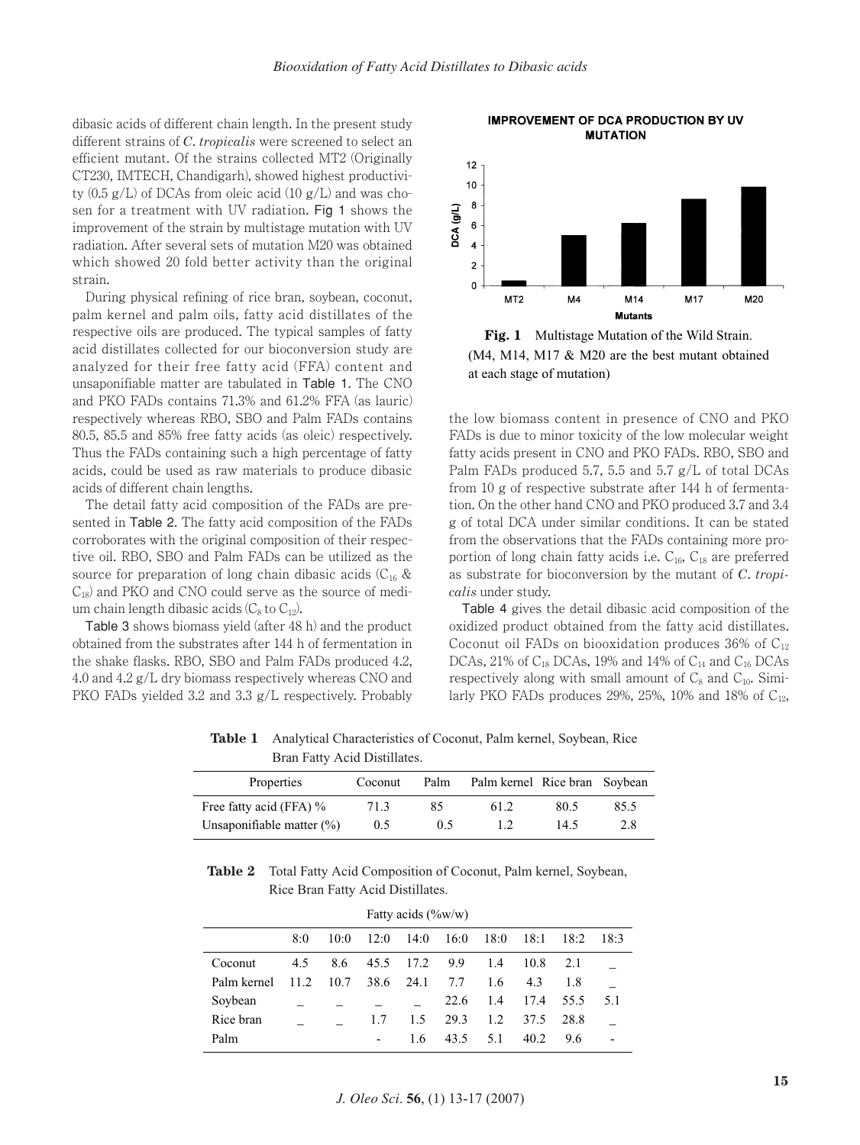dibasic acids of different chain length. In the present study different strains of *C*. *tropicalis* were screened to select an efficient mutant. Of the strains collected MT2 (Originally CT230, IMTECH, Chandigarh), showed highest productivity  $(0.5 \text{ g/L})$  of DCAs from oleic acid  $(10 \text{ g/L})$  and was chosen for a treatment with UV radiation. Fig 1 shows the improvement of the strain by multistage mutation with UV radiation. After several sets of mutation M20 was obtained which showed 20 fold better activity than the original strain.

During physical refining of rice bran, soybean, coconut, palm kernel and palm oils, fatty acid distillates of the respective oils are produced. The typical samples of fatty acid distillates collected for our bioconversion study are analyzed for their free fatty acid (FFA) content and unsaponifiable matter are tabulated in Table 1. The CNO and PKO FADs contains 71.3% and 61.2% FFA (as lauric) respectively whereas RBO, SBO and Palm FADs contains 80.5, 85.5 and 85% free fatty acids (as oleic) respectively. Thus the FADs containing such a high percentage of fatty acids, could be used as raw materials to produce dibasic acids of different chain lengths.

The detail fatty acid composition of the FADs are presented in Table 2. The fatty acid composition of the FADs corroborates with the original composition of their respective oil. RBO, SBO and Palm FADs can be utilized as the source for preparation of long chain dibasic acids  $(C_{16} \&$  $C_{18}$ ) and PKO and CNO could serve as the source of medium chain length dibasic acids  $(C_8$  to  $C_{12}$ ).

Table 3 shows biomass yield (after 48 h) and the product obtained from the substrates after 144 h of fermentation in the shake flasks. RBO, SBO and Palm FADs produced 4.2, 4.0 and 4.2 g/L dry biomass respectively whereas CNO and PKO FADs yielded 3.2 and 3.3 g/L respectively. Probably

**IMPROVEMENT OF DCA PRODUCTION BY UV MUTATION** 



(M4, M14, M17 & M20 are the best mutant obtained at each stage of mutation) **Fig. 1** Multistage Mutation of the Wild Strain.

the low biomass content in presence of CNO and PKO FADs is due to minor toxicity of the low molecular weight fatty acids present in CNO and PKO FADs. RBO, SBO and Palm FADs produced 5.7, 5.5 and 5.7 g/L of total DCAs from 10 g of respective substrate after 144 h of fermentation. On the other hand CNO and PKO produced 3.7 and 3.4 g of total DCA under similar conditions. It can be stated from the observations that the FADs containing more proportion of long chain fatty acids i.e.  $C_{16}$ ,  $C_{18}$  are preferred as substrate for bioconversion by the mutant of *C*. *tropicalis* under study.

Table 4 gives the detail dibasic acid composition of the oxidized product obtained from the fatty acid distillates. Coconut oil FADs on biooxidation produces 36% of  $C_{12}$ DCAs, 21% of C<sub>18</sub> DCAs, 19% and 14% of C<sub>14</sub> and C<sub>16</sub> DCAs respectively along with small amount of  $C_8$  and  $C_{10}$ . Similarly PKO FADs produces 29%, 25%, 10% and 18% of  $C_{12}$ ,

Properties Coconut Palm Palm kernel Rice bran Soybean Free fatty acid (FFA) % Unsaponifiable matter (%) 71.3 0.5 85 0.5 61.2 1.2 80.5 14.5 85.5 2.8

**Table 1** Analytical Characteristics of Coconut, Palm kernel, Soybean, Rice Bran Fatty Acid Distillates.

**Table 2** Total Fatty Acid Composition of Coconut, Palm kernel, Soybean, Rice Bran Fatty Acid Distillates.

| Fatty acids $(\%w/w)$ |       |      |                          |      |      |      |      |      |      |
|-----------------------|-------|------|--------------------------|------|------|------|------|------|------|
|                       | 8:0   | 10:0 | 12:0                     | 14:0 | 16:0 | 18:0 | 18:1 | 18:2 | 18:3 |
| Coconut               | 4.5   | 8.6  | 45.5                     | 17.2 | 9.9  | 1.4  | 10.8 | 2.1  |      |
| Palm kernel           | 11.2. | 10.7 | 38.6                     | 24.1 | 7.7  | 1.6  | 4.3  | 1.8  |      |
| Soybean               |       |      |                          |      | 22.6 | 1.4  | 17.4 | 55.5 | 5.1  |
| Rice bran             |       |      | 1.7                      | 1.5  | 29.3 | 1.2  | 37.5 | 28.8 |      |
| Palm                  |       |      | $\overline{\phantom{a}}$ | 1.6  | 43.5 | 5.1  | 40.2 | 9.6  |      |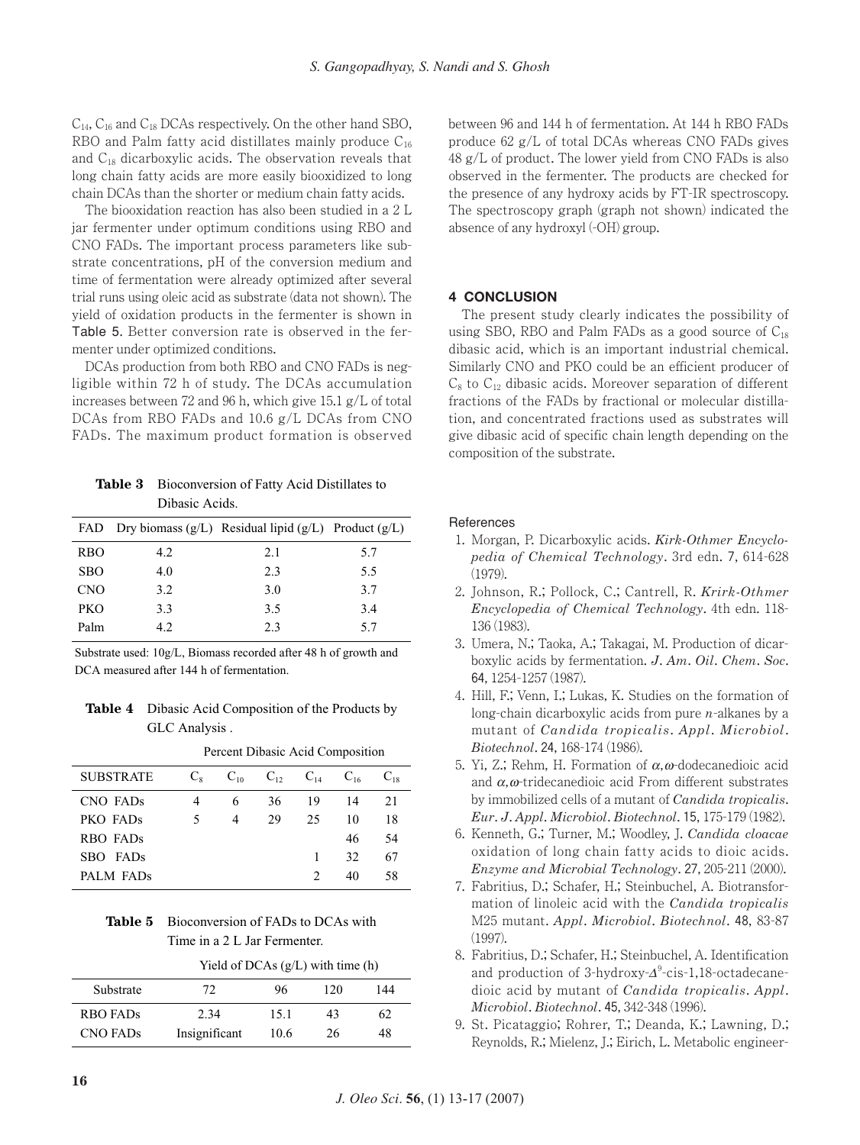$C_{14}$ ,  $C_{16}$  and  $C_{18}$  DCAs respectively. On the other hand SBO, RBO and Palm fatty acid distillates mainly produce  $C_{16}$ and  $C_{18}$  dicarboxylic acids. The observation reveals that long chain fatty acids are more easily biooxidized to long chain DCAs than the shorter or medium chain fatty acids.

The biooxidation reaction has also been studied in a 2 L jar fermenter under optimum conditions using RBO and CNO FADs. The important process parameters like substrate concentrations, pH of the conversion medium and time of fermentation were already optimized after several trial runs using oleic acid as substrate (data not shown). The yield of oxidation products in the fermenter is shown in Table 5. Better conversion rate is observed in the fermenter under optimized conditions.

DCAs production from both RBO and CNO FADs is negligible within 72 h of study. The DCAs accumulation increases between 72 and 96 h, which give 15.1 g/L of total DCAs from RBO FADs and 10.6 g/L DCAs from CNO FADs. The maximum product formation is observed

**Table 3** Bioconversion of Fatty Acid Distillates to Dibasic Acids.

|            |     | FAD Dry biomass $(g/L)$ Residual lipid $(g/L)$ Product $(g/L)$ |     |
|------------|-----|----------------------------------------------------------------|-----|
| <b>RBO</b> | 4.2 | 2.1                                                            | 5.7 |
| <b>SBO</b> | 4.0 | 2.3                                                            | 5.5 |
| <b>CNO</b> | 3.2 | 3.0                                                            | 3.7 |
| <b>PKO</b> | 3.3 | 3.5                                                            | 3.4 |
| Palm       | 4.2 | 2.3                                                            | 5.7 |

Substrate used: 10g/L, Biomass recorded after 48 h of growth and DCA measured after 144 h of fermentation.

**Table 4** Dibasic Acid Composition of the Products by GLC Analysis .

|                      | Percent Dibasic Acid Composition |          |    |                   |          |          |
|----------------------|----------------------------------|----------|----|-------------------|----------|----------|
| <b>SUBSTRATE</b>     | $C_{8}$                          | $C_{10}$ |    | $C_{12}$ $C_{14}$ | $C_{16}$ | $C_{18}$ |
| CNO FADs             | 4                                | 6        | 36 | 19                | 14       | 21       |
| PKO FAD <sub>s</sub> | 5                                | 4        | 29 | 25                | 10       | 18       |
| RBO FADs             |                                  |          |    |                   | 46       | 54       |
| <b>FADs</b><br>SBO.  |                                  |          |    | 1                 | 32       | 67       |
| PALM FADs            |                                  |          |    | 2                 | 40       | 58       |

**Table 5** Bioconversion of FADs to DCAs with Time in a 2 L Jar Fermenter.

|                 | Yield of DCAs $(g/L)$ with time (h) |      |     |     |  |  |
|-----------------|-------------------------------------|------|-----|-----|--|--|
| Substrate       | 72                                  | 96   | 120 | 144 |  |  |
| <b>RBO FADs</b> | 2.34                                | 15.1 | 43  | 62  |  |  |
| <b>CNO FADS</b> | Insignificant                       | 10.6 | 26  | 48  |  |  |

between 96 and 144 h of fermentation. At 144 h RBO FADs produce 62 g/L of total DCAs whereas CNO FADs gives 48 g/L of product. The lower yield from CNO FADs is also observed in the fermenter. The products are checked for the presence of any hydroxy acids by FT-IR spectroscopy. The spectroscopy graph (graph not shown) indicated the absence of any hydroxyl (-OH) group.

## **4 CONCLUSION**

The present study clearly indicates the possibility of using SBO, RBO and Palm FADs as a good source of  $C_{18}$ dibasic acid, which is an important industrial chemical. Similarly CNO and PKO could be an efficient producer of  $C_8$  to  $C_{12}$  dibasic acids. Moreover separation of different fractions of the FADs by fractional or molecular distillation, and concentrated fractions used as substrates will give dibasic acid of specific chain length depending on the composition of the substrate.

#### **References**

- 1. Morgan, P. Dicarboxylic acids. *Kirk-Othmer Encyclopedia of Chemical Technology*. 3rd edn. 7, 614-628 (1979).
- 2. Johnson, R.; Pollock, C.; Cantrell, R. *Krirk-Othmer Encyclopedia of Chemical Technology*. 4th edn. 118- 136 (1983).
- 3. Umera, N.; Taoka, A.; Takagai, M. Production of dicarboxylic acids by fermentation. *J*. *Am*. *Oil*. *Chem*. *Soc*. 64, 1254-1257 (1987).
- 4. Hill, F.; Venn, I.; Lukas, K. Studies on the formation of long-chain dicarboxylic acids from pure *n*-alkanes by a mutant of *Candida tropicalis*. *Appl*. *Microbiol*. *Biotechnol*. 24, 168-174 (1986).
- 5. Yi, Z.; Rehm, H. Formation of  $\alpha$ ,  $\omega$ -dodecanedioic acid and  $\alpha$ ,  $\omega$ -tridecanedioic acid From different substrates by immobilized cells of a mutant of *Candida tropicalis*. *Eur*. *J*. *Appl*. *Microbiol*. *Biotechnol*. 15, 175-179 (1982).
- 6. Kenneth, G.; Turner, M.; Woodley, J. *Candida cloacae* oxidation of long chain fatty acids to dioic acids. *Enzyme and Microbial Technology*. 27, 205-211 (2000).
- 7. Fabritius, D.; Schafer, H.; Steinbuchel, A. Biotransformation of linoleic acid with the *Candida tropicalis* M25 mutant. *Appl*. *Microbiol*. *Biotechnol*. 48, 83-87 (1997).
- 8. Fabritius, D.; Schafer, H.; Steinbuchel, A. Identification and production of 3-hydroxy- $\Delta^9$ -cis-1,18-octadecanedioic acid by mutant of *Candida tropicalis*. *Appl*. *Microbiol*. *Biotechnol*. 45, 342-348 (1996).
- 9. St. Picataggio; Rohrer, T.; Deanda, K.; Lawning, D.; Reynolds, R.; Mielenz, J.; Eirich, L. Metabolic engineer-